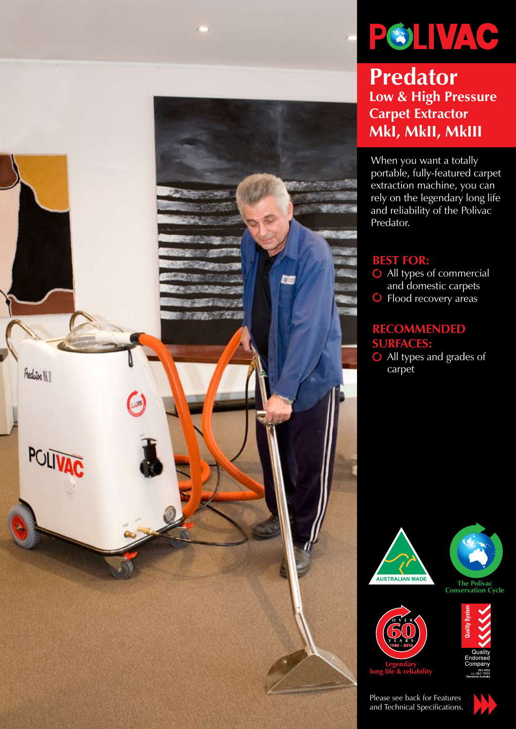



**Predator Low & High Pressure Carpet Extractor MkI, MkII, MkIII**

When you want a totally portable, fully-featured carpet extraction machine, you can rely on the legendary long life and reliability of the Polivac Predator.

# **Best for:**

 All types of commercial and domestic carpets Flood recovery areas

## **Recommended surfaces:**

 All types and grades of carpet









**Legendary long life & reliability**

Please see back for Features and Technical Specifications.